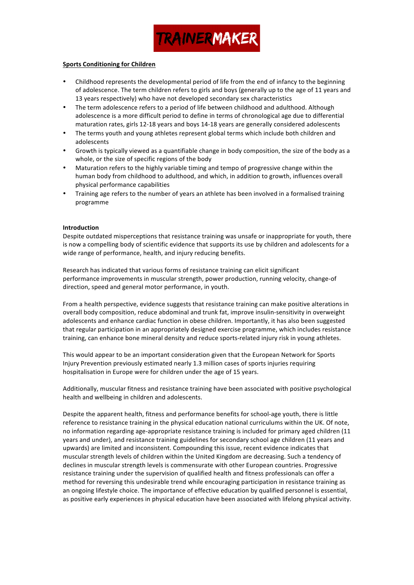

#### **Sports Conditioning for Children**

- Childhood represents the developmental period of life from the end of infancy to the beginning of adolescence. The term children refers to girls and boys (generally up to the age of 11 years and 13 years respectively) who have not developed secondary sex characteristics
- The term adolescence refers to a period of life between childhood and adulthood. Although adolescence is a more difficult period to define in terms of chronological age due to differential maturation rates, girls 12-18 years and boys 14-18 years are generally considered adolescents
- The terms youth and young athletes represent global terms which include both children and adolescents
- Growth is typically viewed as a quantifiable change in body composition, the size of the body as a whole, or the size of specific regions of the body
- Maturation refers to the highly variable timing and tempo of progressive change within the human body from childhood to adulthood, and which, in addition to growth, influences overall physical performance capabilities
- Training age refers to the number of years an athlete has been involved in a formalised training programme

#### **Introduction**

Despite outdated misperceptions that resistance training was unsafe or inappropriate for youth, there is now a compelling body of scientific evidence that supports its use by children and adolescents for a wide range of performance, health, and injury reducing benefits.

Research has indicated that various forms of resistance training can elicit significant performance improvements in muscular strength, power production, running velocity, change-of direction, speed and general motor performance, in youth.

From a health perspective, evidence suggests that resistance training can make positive alterations in overall body composition, reduce abdominal and trunk fat, improve insulin-sensitivity in overweight adolescents and enhance cardiac function in obese children. Importantly, it has also been suggested that regular participation in an appropriately designed exercise programme, which includes resistance training, can enhance bone mineral density and reduce sports-related injury risk in young athletes.

This would appear to be an important consideration given that the European Network for Sports Injury Prevention previously estimated nearly 1.3 million cases of sports injuries requiring hospitalisation in Europe were for children under the age of 15 years.

Additionally, muscular fitness and resistance training have been associated with positive psychological health and wellbeing in children and adolescents.

Despite the apparent health, fitness and performance benefits for school-age youth, there is little reference to resistance training in the physical education national curriculums within the UK. Of note, no information regarding age-appropriate resistance training is included for primary aged children (11 years and under), and resistance training guidelines for secondary school age children (11 years and upwards) are limited and inconsistent. Compounding this issue, recent evidence indicates that muscular strength levels of children within the United Kingdom are decreasing. Such a tendency of declines in muscular strength levels is commensurate with other European countries. Progressive resistance training under the supervision of qualified health and fitness professionals can offer a method for reversing this undesirable trend while encouraging participation in resistance training as an ongoing lifestyle choice. The importance of effective education by qualified personnel is essential, as positive early experiences in physical education have been associated with lifelong physical activity.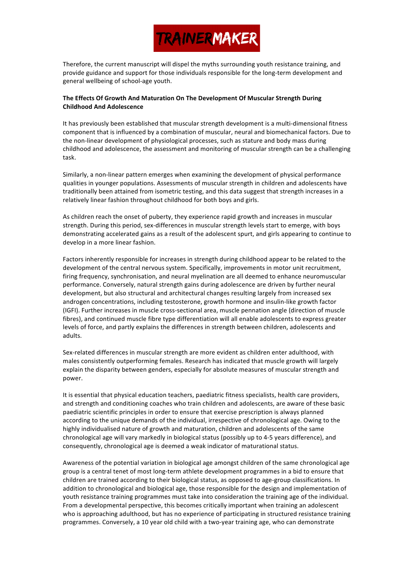

Therefore, the current manuscript will dispel the myths surrounding youth resistance training, and provide guidance and support for those individuals responsible for the long-term development and general wellbeing of school-age youth.

### The Effects Of Growth And Maturation On The Development Of Muscular Strength During **Childhood And Adolescence**

It has previously been established that muscular strength development is a multi-dimensional fitness component that is influenced by a combination of muscular, neural and biomechanical factors. Due to the non-linear development of physiological processes, such as stature and body mass during childhood and adolescence, the assessment and monitoring of muscular strength can be a challenging task. 

Similarly, a non-linear pattern emerges when examining the development of physical performance qualities in younger populations. Assessments of muscular strength in children and adolescents have traditionally been attained from isometric testing, and this data suggest that strength increases in a relatively linear fashion throughout childhood for both boys and girls.

As children reach the onset of puberty, they experience rapid growth and increases in muscular strength. During this period, sex-differences in muscular strength levels start to emerge, with boys demonstrating accelerated gains as a result of the adolescent spurt, and girls appearing to continue to develop in a more linear fashion.

Factors inherently responsible for increases in strength during childhood appear to be related to the development of the central nervous system. Specifically, improvements in motor unit recruitment, firing frequency, synchronisation, and neural myelination are all deemed to enhance neuromuscular performance. Conversely, natural strength gains during adolescence are driven by further neural development, but also structural and architectural changes resulting largely from increased sex androgen concentrations, including testosterone, growth hormone and insulin-like growth factor (IGFI). Further increases in muscle cross-sectional area, muscle pennation angle (direction of muscle fibres), and continued muscle fibre type differentiation will all enable adolescents to express greater levels of force, and partly explains the differences in strength between children, adolescents and adults. 

Sex-related differences in muscular strength are more evident as children enter adulthood, with males consistently outperforming females. Research has indicated that muscle growth will largely explain the disparity between genders, especially for absolute measures of muscular strength and power. 

It is essential that physical education teachers, paediatric fitness specialists, health care providers, and strength and conditioning coaches who train children and adolescents, are aware of these basic paediatric scientific principles in order to ensure that exercise prescription is always planned according to the unique demands of the individual, irrespective of chronological age. Owing to the highly individualised nature of growth and maturation, children and adolescents of the same chronological age will vary markedly in biological status (possibly up to 4-5 years difference), and consequently, chronological age is deemed a weak indicator of maturational status.

Awareness of the potential variation in biological age amongst children of the same chronological age group is a central tenet of most long-term athlete development programmes in a bid to ensure that children are trained according to their biological status, as opposed to age-group classifications. In addition to chronological and biological age, those responsible for the design and implementation of youth resistance training programmes must take into consideration the training age of the individual. From a developmental perspective, this becomes critically important when training an adolescent who is approaching adulthood, but has no experience of participating in structured resistance training programmes. Conversely, a 10 year old child with a two-year training age, who can demonstrate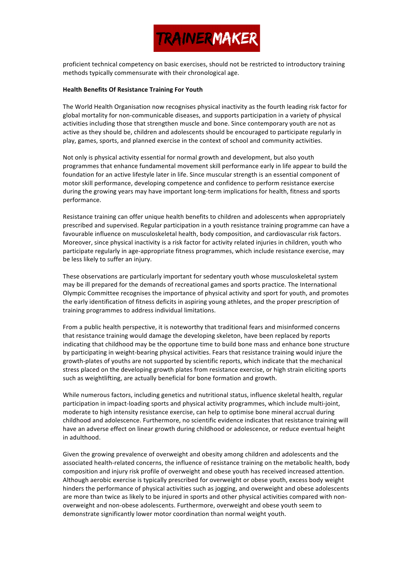

proficient technical competency on basic exercises, should not be restricted to introductory training methods typically commensurate with their chronological age.

#### **Health Benefits Of Resistance Training For Youth**

The World Health Organisation now recognises physical inactivity as the fourth leading risk factor for global mortality for non-communicable diseases, and supports participation in a variety of physical activities including those that strengthen muscle and bone. Since contemporary youth are not as active as they should be, children and adolescents should be encouraged to participate regularly in play, games, sports, and planned exercise in the context of school and community activities.

Not only is physical activity essential for normal growth and development, but also youth programmes that enhance fundamental movement skill performance early in life appear to build the foundation for an active lifestyle later in life. Since muscular strength is an essential component of motor skill performance, developing competence and confidence to perform resistance exercise during the growing years may have important long-term implications for health, fitness and sports performance. 

Resistance training can offer unique health benefits to children and adolescents when appropriately prescribed and supervised. Regular participation in a youth resistance training programme can have a favourable influence on musculoskeletal health, body composition, and cardiovascular risk factors. Moreover, since physical inactivity is a risk factor for activity related injuries in children, youth who participate regularly in age-appropriate fitness programmes, which include resistance exercise, may be less likely to suffer an injury.

These observations are particularly important for sedentary youth whose musculoskeletal system may be ill prepared for the demands of recreational games and sports practice. The International Olympic Committee recognises the importance of physical activity and sport for youth, and promotes the early identification of fitness deficits in aspiring young athletes, and the proper prescription of training programmes to address individual limitations.

From a public health perspective, it is noteworthy that traditional fears and misinformed concerns that resistance training would damage the developing skeleton, have been replaced by reports indicating that childhood may be the opportune time to build bone mass and enhance bone structure by participating in weight-bearing physical activities. Fears that resistance training would injure the growth-plates of youths are not supported by scientific reports, which indicate that the mechanical stress placed on the developing growth plates from resistance exercise, or high strain eliciting sports such as weightlifting, are actually beneficial for bone formation and growth.

While numerous factors, including genetics and nutritional status, influence skeletal health, regular participation in impact-loading sports and physical activity programmes, which include multi-joint, moderate to high intensity resistance exercise, can help to optimise bone mineral accrual during childhood and adolescence. Furthermore, no scientific evidence indicates that resistance training will have an adverse effect on linear growth during childhood or adolescence, or reduce eventual height in adulthood.

Given the growing prevalence of overweight and obesity among children and adolescents and the associated health-related concerns, the influence of resistance training on the metabolic health, body composition and injury risk profile of overweight and obese youth has received increased attention. Although aerobic exercise is typically prescribed for overweight or obese youth, excess body weight hinders the performance of physical activities such as jogging, and overweight and obese adolescents are more than twice as likely to be injured in sports and other physical activities compared with nonoverweight and non-obese adolescents. Furthermore, overweight and obese youth seem to demonstrate significantly lower motor coordination than normal weight youth.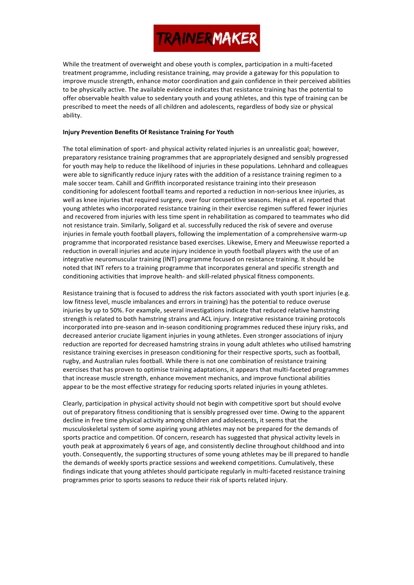While the treatment of overweight and obese youth is complex, participation in a multi-faceted treatment programme, including resistance training, may provide a gateway for this population to improve muscle strength, enhance motor coordination and gain confidence in their perceived abilities to be physically active. The available evidence indicates that resistance training has the potential to offer observable health value to sedentary youth and young athletes, and this type of training can be prescribed to meet the needs of all children and adolescents, regardless of body size or physical ability. 

### **Injury Prevention Benefits Of Resistance Training For Youth**

The total elimination of sport- and physical activity related injuries is an unrealistic goal; however, preparatory resistance training programmes that are appropriately designed and sensibly progressed for youth may help to reduce the likelihood of injuries in these populations. Lehnhard and colleagues were able to significantly reduce injury rates with the addition of a resistance training regimen to a male soccer team. Cahill and Griffith incorporated resistance training into their preseason conditioning for adolescent football teams and reported a reduction in non-serious knee injuries, as well as knee injuries that required surgery, over four competitive seasons. Hejna et al. reported that young athletes who incorporated resistance training in their exercise regimen suffered fewer injuries and recovered from injuries with less time spent in rehabilitation as compared to teammates who did not resistance train. Similarly, Soligard et al. successfully reduced the risk of severe and overuse injuries in female vouth football players, following the implementation of a comprehensive warm-up programme that incorporated resistance based exercises. Likewise, Emery and Meeuwisse reported a reduction in overall injuries and acute injury incidence in youth football players with the use of an integrative neuromuscular training (INT) programme focused on resistance training. It should be noted that INT refers to a training programme that incorporates general and specific strength and conditioning activities that improve health- and skill-related physical fitness components.

Resistance training that is focused to address the risk factors associated with youth sport injuries (e.g. low fitness level, muscle imbalances and errors in training) has the potential to reduce overuse injuries by up to 50%. For example, several investigations indicate that reduced relative hamstring strength is related to both hamstring strains and ACL injury. Integrative resistance training protocols incorporated into pre-season and in-season conditioning programmes reduced these injury risks, and decreased anterior cruciate ligament injuries in young athletes. Even stronger associations of injury reduction are reported for decreased hamstring strains in young adult athletes who utilised hamstring resistance training exercises in preseason conditioning for their respective sports, such as football, rugby, and Australian rules football. While there is not one combination of resistance training exercises that has proven to optimise training adaptations, it appears that multi-faceted programmes that increase muscle strength, enhance movement mechanics, and improve functional abilities appear to be the most effective strategy for reducing sports related injuries in young athletes.

Clearly, participation in physical activity should not begin with competitive sport but should evolve out of preparatory fitness conditioning that is sensibly progressed over time. Owing to the apparent decline in free time physical activity among children and adolescents, it seems that the musculoskeletal system of some aspiring young athletes may not be prepared for the demands of sports practice and competition. Of concern, research has suggested that physical activity levels in youth peak at approximately 6 years of age, and consistently decline throughout childhood and into youth. Consequently, the supporting structures of some young athletes may be ill prepared to handle the demands of weekly sports practice sessions and weekend competitions. Cumulatively, these findings indicate that young athletes should participate regularly in multi-faceted resistance training programmes prior to sports seasons to reduce their risk of sports related injury.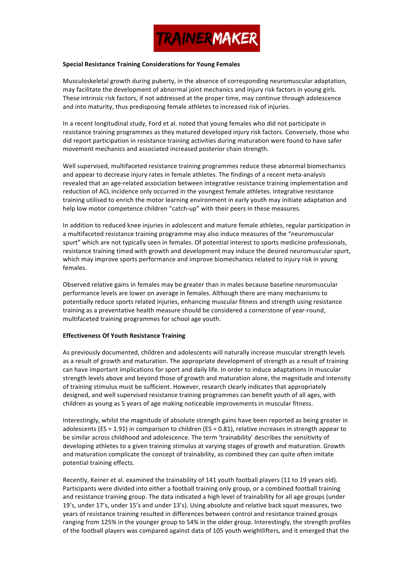

#### **Special Resistance Training Considerations for Young Females**

Musculoskeletal growth during puberty, in the absence of corresponding neuromuscular adaptation, may facilitate the development of abnormal ioint mechanics and injury risk factors in young girls. These intrinsic risk factors, if not addressed at the proper time, may continue through adolescence and into maturity, thus predisposing female athletes to increased risk of injuries.

In a recent longitudinal study, Ford et al. noted that young females who did not participate in resistance training programmes as they matured developed injury risk factors. Conversely, those who did report participation in resistance training activities during maturation were found to have safer movement mechanics and associated increased posterior chain strength.

Well supervised, multifaceted resistance training programmes reduce these abnormal biomechanics and appear to decrease injury rates in female athletes. The findings of a recent meta-analysis revealed that an age-related association between integrative resistance training implementation and reduction of ACL incidence only occurred in the youngest female athletes. Integrative resistance training utilised to enrich the motor learning environment in early youth may initiate adaptation and help low motor competence children "catch-up" with their peers in these measures.

In addition to reduced knee injuries in adolescent and mature female athletes, regular participation in a multifaceted resistance training programme may also induce measures of the "neuromuscular spurt" which are not typically seen in females. Of potential interest to sports medicine professionals, resistance training timed with growth and development may induce the desired neuromuscular spurt, which may improve sports performance and improve biomechanics related to injury risk in young females. 

Observed relative gains in females may be greater than in males because baseline neuromuscular performance levels are lower on average in females. Although there are many mechanisms to potentially reduce sports related injuries, enhancing muscular fitness and strength using resistance training as a preventative health measure should be considered a cornerstone of year-round, multifaceted training programmes for school age youth.

#### **Effectiveness Of Youth Resistance Training**

As previously documented, children and adolescents will naturally increase muscular strength levels as a result of growth and maturation. The appropriate development of strength as a result of training can have important implications for sport and daily life. In order to induce adaptations in muscular strength levels above and beyond those of growth and maturation alone, the magnitude and intensity of training stimulus must be sufficient. However, research clearly indicates that appropriately designed, and well supervised resistance training programmes can benefit youth of all ages, with children as young as 5 years of age making noticeable improvements in muscular fitness.

Interestingly, whilst the magnitude of absolute strength gains have been reported as being greater in adolescents  $(ES = 1.91)$  in comparison to children  $(ES = 0.81)$ , relative increases in strength appear to be similar across childhood and adolescence. The term 'trainability' describes the sensitivity of developing athletes to a given training stimulus at varying stages of growth and maturation. Growth and maturation complicate the concept of trainability, as combined they can quite often imitate potential training effects.

Recently, Keiner et al. examined the trainability of 141 youth football players (11 to 19 years old). Participants were divided into either a football training only group, or a combined football training and resistance training group. The data indicated a high level of trainability for all age groups (under 19's, under 17's, under 15's and under 13's). Using absolute and relative back squat measures, two years of resistance training resulted in differences between control and resistance trained groups ranging from 125% in the younger group to 54% in the older group. Interestingly, the strength profiles of the football players was compared against data of 105 youth weightlifters, and it emerged that the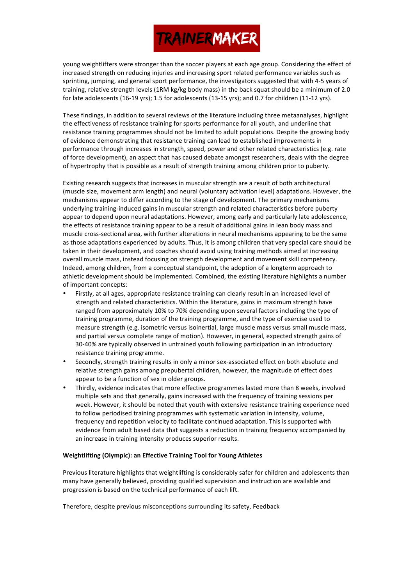young weightlifters were stronger than the soccer players at each age group. Considering the effect of increased strength on reducing injuries and increasing sport related performance variables such as sprinting, jumping, and general sport performance, the investigators suggested that with 4-5 years of training, relative strength levels (1RM kg/kg body mass) in the back squat should be a minimum of 2.0 for late adolescents (16-19 yrs); 1.5 for adolescents (13-15 yrs); and 0.7 for children (11-12 yrs).

These findings, in addition to several reviews of the literature including three metaanalyses, highlight the effectiveness of resistance training for sports performance for all youth, and underline that resistance training programmes should not be limited to adult populations. Despite the growing body of evidence demonstrating that resistance training can lead to established improvements in performance through increases in strength, speed, power and other related characteristics (e.g. rate of force development), an aspect that has caused debate amongst researchers, deals with the degree of hypertrophy that is possible as a result of strength training among children prior to puberty.

Existing research suggests that increases in muscular strength are a result of both architectural (muscle size, movement arm length) and neural (voluntary activation level) adaptations. However, the mechanisms appear to differ according to the stage of development. The primary mechanisms underlying training-induced gains in muscular strength and related characteristics before puberty appear to depend upon neural adaptations. However, among early and particularly late adolescence, the effects of resistance training appear to be a result of additional gains in lean body mass and muscle cross-sectional area, with further alterations in neural mechanisms appearing to be the same as those adaptations experienced by adults. Thus, it is among children that very special care should be taken in their development, and coaches should avoid using training methods aimed at increasing overall muscle mass, instead focusing on strength development and movement skill competency. Indeed, among children, from a conceptual standpoint, the adoption of a longterm approach to athletic development should be implemented. Combined, the existing literature highlights a number of important concepts:

- Firstly, at all ages, appropriate resistance training can clearly result in an increased level of strength and related characteristics. Within the literature, gains in maximum strength have ranged from approximately 10% to 70% depending upon several factors including the type of training programme, duration of the training programme, and the type of exercise used to measure strength (e.g. isometric versus isoinertial, large muscle mass versus small muscle mass, and partial versus complete range of motion). However, in general, expected strength gains of 30-40% are typically observed in untrained youth following participation in an introductory resistance training programme.
- Secondly, strength training results in only a minor sex-associated effect on both absolute and relative strength gains among prepubertal children, however, the magnitude of effect does appear to be a function of sex in older groups.
- Thirdly, evidence indicates that more effective programmes lasted more than 8 weeks, involved multiple sets and that generally, gains increased with the frequency of training sessions per week. However, it should be noted that youth with extensive resistance training experience need to follow periodised training programmes with systematic variation in intensity, volume, frequency and repetition velocity to facilitate continued adaptation. This is supported with evidence from adult based data that suggests a reduction in training frequency accompanied by an increase in training intensity produces superior results.

### **Weightlifting (Olympic): an Effective Training Tool for Young Athletes**

Previous literature highlights that weightlifting is considerably safer for children and adolescents than many have generally believed, providing qualified supervision and instruction are available and progression is based on the technical performance of each lift.

Therefore, despite previous misconceptions surrounding its safety, Feedback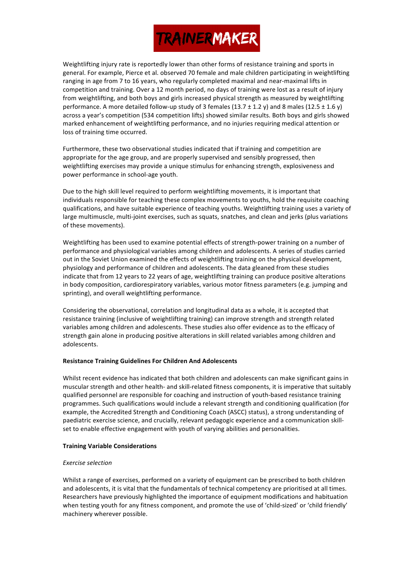Weightlifting injury rate is reportedly lower than other forms of resistance training and sports in general. For example, Pierce et al. observed 70 female and male children participating in weightlifting ranging in age from 7 to 16 years, who regularly completed maximal and near-maximal lifts in competition and training. Over a 12 month period, no days of training were lost as a result of injury from weightlifting, and both boys and girls increased physical strength as measured by weightlifting performance. A more detailed follow-up study of 3 females  $(13.7 \pm 1.2 \text{ y})$  and 8 males  $(12.5 \pm 1.6 \text{ y})$ across a year's competition (534 competition lifts) showed similar results. Both boys and girls showed marked enhancement of weightlifting performance, and no injuries requiring medical attention or loss of training time occurred.

Furthermore, these two observational studies indicated that if training and competition are appropriate for the age group, and are properly supervised and sensibly progressed, then weightlifting exercises may provide a unique stimulus for enhancing strength, explosiveness and power performance in school-age youth.

Due to the high skill level required to perform weightlifting movements, it is important that individuals responsible for teaching these complex movements to youths, hold the requisite coaching qualifications, and have suitable experience of teaching youths. Weightlifting training uses a variety of large multimuscle, multi-joint exercises, such as squats, snatches, and clean and jerks (plus variations of these movements).

Weightlifting has been used to examine potential effects of strength-power training on a number of performance and physiological variables among children and adolescents. A series of studies carried out in the Soviet Union examined the effects of weightlifting training on the physical development, physiology and performance of children and adolescents. The data gleaned from these studies indicate that from 12 years to 22 years of age, weightlifting training can produce positive alterations in body composition, cardiorespiratory variables, various motor fitness parameters (e.g. jumping and sprinting), and overall weightlifting performance.

Considering the observational, correlation and longitudinal data as a whole, it is accepted that resistance training (inclusive of weightlifting training) can improve strength and strength related variables among children and adolescents. These studies also offer evidence as to the efficacy of strength gain alone in producing positive alterations in skill related variables among children and adolescents. 

### **Resistance Training Guidelines For Children And Adolescents**

Whilst recent evidence has indicated that both children and adolescents can make significant gains in muscular strength and other health- and skill-related fitness components, it is imperative that suitably qualified personnel are responsible for coaching and instruction of youth-based resistance training programmes. Such qualifications would include a relevant strength and conditioning qualification (for example, the Accredited Strength and Conditioning Coach (ASCC) status), a strong understanding of paediatric exercise science, and crucially, relevant pedagogic experience and a communication skillset to enable effective engagement with youth of varying abilities and personalities.

### **Training Variable Considerations**

### *Exercise selection*

Whilst a range of exercises, performed on a variety of equipment can be prescribed to both children and adolescents, it is vital that the fundamentals of technical competency are prioritised at all times. Researchers have previously highlighted the importance of equipment modifications and habituation when testing youth for any fitness component, and promote the use of 'child-sized' or 'child friendly' machinery wherever possible.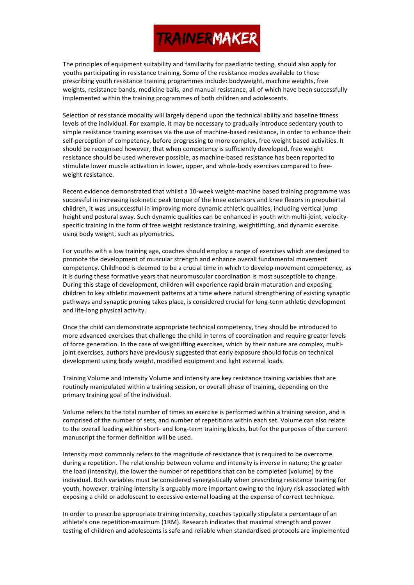The principles of equipment suitability and familiarity for paediatric testing, should also apply for youths participating in resistance training. Some of the resistance modes available to those prescribing youth resistance training programmes include: bodyweight, machine weights, free weights, resistance bands, medicine balls, and manual resistance, all of which have been successfully implemented within the training programmes of both children and adolescents.

Selection of resistance modality will largely depend upon the technical ability and baseline fitness levels of the individual. For example, it may be necessary to gradually introduce sedentary youth to simple resistance training exercises via the use of machine-based resistance, in order to enhance their self-perception of competency, before progressing to more complex, free weight based activities. It should be recognised however, that when competency is sufficiently developed, free weight resistance should be used wherever possible, as machine-based resistance has been reported to stimulate lower muscle activation in lower, upper, and whole-body exercises compared to freeweight resistance.

Recent evidence demonstrated that whilst a 10-week weight-machine based training programme was successful in increasing isokinetic peak torque of the knee extensors and knee flexors in prepubertal children, it was unsuccessful in improving more dynamic athletic qualities, including vertical jump height and postural sway. Such dynamic qualities can be enhanced in youth with multi-joint, velocityspecific training in the form of free weight resistance training, weightlifting, and dynamic exercise using body weight, such as plyometrics.

For youths with a low training age, coaches should employ a range of exercises which are designed to promote the development of muscular strength and enhance overall fundamental movement competency. Childhood is deemed to be a crucial time in which to develop movement competency, as it is during these formative years that neuromuscular coordination is most susceptible to change. During this stage of development, children will experience rapid brain maturation and exposing children to key athletic movement patterns at a time where natural strengthening of existing synaptic pathways and synaptic pruning takes place, is considered crucial for long-term athletic development and life-long physical activity.

Once the child can demonstrate appropriate technical competency, they should be introduced to more advanced exercises that challenge the child in terms of coordination and require greater levels of force generation. In the case of weightlifting exercises, which by their nature are complex, multijoint exercises, authors have previously suggested that early exposure should focus on technical development using body weight, modified equipment and light external loads.

Training Volume and Intensity Volume and intensity are key resistance training variables that are routinely manipulated within a training session, or overall phase of training, depending on the primary training goal of the individual.

Volume refers to the total number of times an exercise is performed within a training session, and is comprised of the number of sets, and number of repetitions within each set. Volume can also relate to the overall loading within short- and long-term training blocks, but for the purposes of the current manuscript the former definition will be used.

Intensity most commonly refers to the magnitude of resistance that is required to be overcome during a repetition. The relationship between volume and intensity is inverse in nature; the greater the load (intensity), the lower the number of repetitions that can be completed (volume) by the individual. Both variables must be considered synergistically when prescribing resistance training for youth, however, training intensity is arguably more important owing to the injury risk associated with exposing a child or adolescent to excessive external loading at the expense of correct technique.

In order to prescribe appropriate training intensity, coaches typically stipulate a percentage of an athlete's one repetition-maximum (1RM). Research indicates that maximal strength and power testing of children and adolescents is safe and reliable when standardised protocols are implemented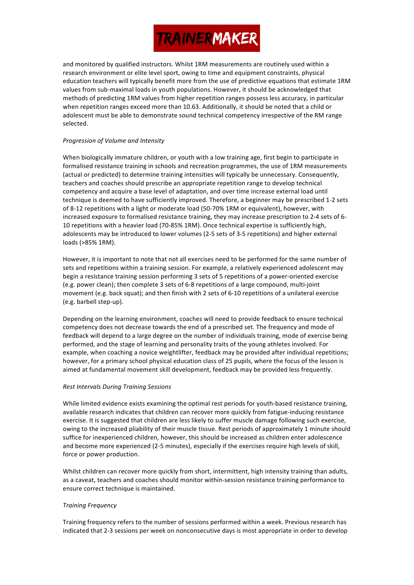and monitored by qualified instructors. Whilst 1RM measurements are routinely used within a research environment or elite level sport, owing to time and equipment constraints, physical education teachers will typically benefit more from the use of predictive equations that estimate 1RM values from sub-maximal loads in youth populations. However, it should be acknowledged that methods of predicting 1RM values from higher repetition ranges possess less accuracy, in particular when repetition ranges exceed more than 10.63. Additionally, it should be noted that a child or adolescent must be able to demonstrate sound technical competency irrespective of the RM range selected.

#### **Progression of Volume and Intensity**

When biologically immature children, or youth with a low training age, first begin to participate in formalised resistance training in schools and recreation programmes, the use of 1RM measurements (actual or predicted) to determine training intensities will typically be unnecessary. Consequently, teachers and coaches should prescribe an appropriate repetition range to develop technical competency and acquire a base level of adaptation, and over time increase external load until technique is deemed to have sufficiently improved. Therefore, a beginner may be prescribed 1-2 sets of 8-12 repetitions with a light or moderate load (50-70% 1RM or equivalent), however, with increased exposure to formalised resistance training, they may increase prescription to 2-4 sets of 6-10 repetitions with a heavier load (70-85% 1RM). Once technical expertise is sufficiently high, adolescents may be introduced to lower volumes (2-5 sets of 3-5 repetitions) and higher external loads (>85% 1RM).

However, it is important to note that not all exercises need to be performed for the same number of sets and repetitions within a training session. For example, a relatively experienced adolescent may begin a resistance training session performing 3 sets of 5 repetitions of a power-oriented exercise (e.g. power clean); then complete 3 sets of 6-8 repetitions of a large compound, multi-joint movement (e.g. back squat); and then finish with 2 sets of 6-10 repetitions of a unilateral exercise (e.g. barbell step-up).

Depending on the learning environment, coaches will need to provide feedback to ensure technical competency does not decrease towards the end of a prescribed set. The frequency and mode of feedback will depend to a large degree on the number of individuals training, mode of exercise being performed, and the stage of learning and personality traits of the young athletes involved. For example, when coaching a novice weightlifter, feedback may be provided after individual repetitions; however, for a primary school physical education class of 25 pupils, where the focus of the lesson is aimed at fundamental movement skill development, feedback may be provided less frequently.

### **Rest Intervals During Training Sessions**

While limited evidence exists examining the optimal rest periods for youth-based resistance training, available research indicates that children can recover more quickly from fatigue-inducing resistance exercise. It is suggested that children are less likely to suffer muscle damage following such exercise, owing to the increased pliability of their muscle tissue. Rest periods of approximately 1 minute should suffice for inexperienced children, however, this should be increased as children enter adolescence and become more experienced (2-5 minutes), especially if the exercises require high levels of skill, force or power production.

Whilst children can recover more quickly from short, intermittent, high intensity training than adults, as a caveat, teachers and coaches should monitor within-session resistance training performance to ensure correct technique is maintained.

### *Training Frequency*

Training frequency refers to the number of sessions performed within a week. Previous research has indicated that 2-3 sessions per week on nonconsecutive days is most appropriate in order to develop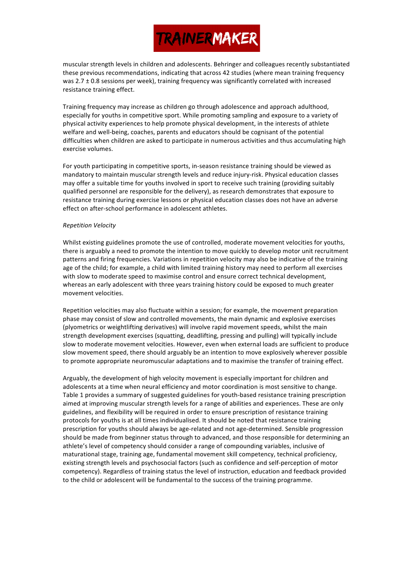muscular strength levels in children and adolescents. Behringer and colleagues recently substantiated these previous recommendations, indicating that across 42 studies (where mean training frequency was  $2.7 \pm 0.8$  sessions per week), training frequency was significantly correlated with increased resistance training effect.

Training frequency may increase as children go through adolescence and approach adulthood, especially for youths in competitive sport. While promoting sampling and exposure to a variety of physical activity experiences to help promote physical development, in the interests of athlete welfare and well-being, coaches, parents and educators should be cognisant of the potential difficulties when children are asked to participate in numerous activities and thus accumulating high exercise volumes.

For youth participating in competitive sports, in-season resistance training should be viewed as mandatory to maintain muscular strength levels and reduce injury-risk. Physical education classes may offer a suitable time for youths involved in sport to receive such training (providing suitably qualified personnel are responsible for the delivery), as research demonstrates that exposure to resistance training during exercise lessons or physical education classes does not have an adverse effect on after-school performance in adolescent athletes.

#### *Repetition Velocity*

Whilst existing guidelines promote the use of controlled, moderate movement velocities for youths, there is arguably a need to promote the intention to move quickly to develop motor unit recruitment patterns and firing frequencies. Variations in repetition velocity may also be indicative of the training age of the child; for example, a child with limited training history may need to perform all exercises with slow to moderate speed to maximise control and ensure correct technical development, whereas an early adolescent with three years training history could be exposed to much greater movement velocities

Repetition velocities may also fluctuate within a session; for example, the movement preparation phase may consist of slow and controlled movements, the main dynamic and explosive exercises (plyometrics or weightlifting derivatives) will involve rapid movement speeds, whilst the main strength development exercises (squatting, deadlifting, pressing and pulling) will typically include slow to moderate movement velocities. However, even when external loads are sufficient to produce slow movement speed, there should arguably be an intention to move explosively wherever possible to promote appropriate neuromuscular adaptations and to maximise the transfer of training effect.

Arguably, the development of high velocity movement is especially important for children and adolescents at a time when neural efficiency and motor coordination is most sensitive to change. Table 1 provides a summary of suggested guidelines for youth-based resistance training prescription aimed at improving muscular strength levels for a range of abilities and experiences. These are only guidelines, and flexibility will be required in order to ensure prescription of resistance training protocols for youths is at all times individualised. It should be noted that resistance training prescription for youths should always be age-related and not age-determined. Sensible progression should be made from beginner status through to advanced, and those responsible for determining an athlete's level of competency should consider a range of compounding variables, inclusive of maturational stage, training age, fundamental movement skill competency, technical proficiency, existing strength levels and psychosocial factors (such as confidence and self-perception of motor competency). Regardless of training status the level of instruction, education and feedback provided to the child or adolescent will be fundamental to the success of the training programme.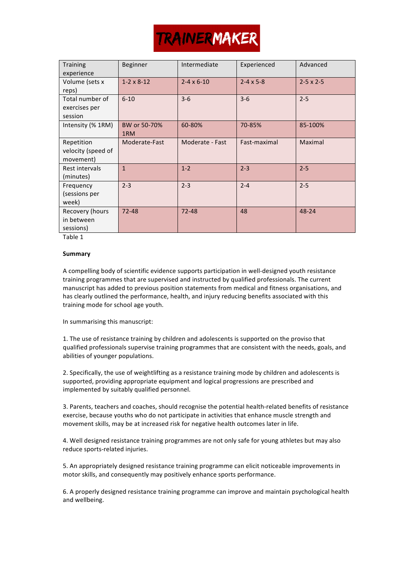| <b>Training</b><br>experience                 | Beginner              | Intermediate          | Experienced          | Advanced         |
|-----------------------------------------------|-----------------------|-----------------------|----------------------|------------------|
| Volume (sets x<br>reps)                       | $1 - 2 \times 8 - 12$ | $2 - 4 \times 6 - 10$ | $2 - 4 \times 5 - 8$ | $2-5 \times 2-5$ |
| Total number of<br>exercises per<br>session   | $6 - 10$              | $3 - 6$               | $3 - 6$              | $2 - 5$          |
| Intensity (% 1RM)                             | BW or 50-70%<br>1RM   | 60-80%                | 70-85%               | 85-100%          |
| Repetition<br>velocity (speed of<br>movement) | Moderate-Fast         | Moderate - Fast       | Fast-maximal         | Maximal          |
| Rest intervals<br>(minutes)                   | $\mathbf{1}$          | $1 - 2$               | $2 - 3$              | $2 - 5$          |
| Frequency<br>(sessions per<br>week)           | $2 - 3$               | $2 - 3$               | $2 - 4$              | $2 - 5$          |
| Recovery (hours<br>in between<br>sessions)    | $72 - 48$             | $72 - 48$             | 48                   | 48-24            |

Table 1

### **Summary**

A compelling body of scientific evidence supports participation in well-designed youth resistance training programmes that are supervised and instructed by qualified professionals. The current manuscript has added to previous position statements from medical and fitness organisations, and has clearly outlined the performance, health, and injury reducing benefits associated with this training mode for school age youth.

In summarising this manuscript:

1. The use of resistance training by children and adolescents is supported on the proviso that qualified professionals supervise training programmes that are consistent with the needs, goals, and abilities of younger populations.

2. Specifically, the use of weightlifting as a resistance training mode by children and adolescents is supported, providing appropriate equipment and logical progressions are prescribed and implemented by suitably qualified personnel.

3. Parents, teachers and coaches, should recognise the potential health-related benefits of resistance exercise, because vouths who do not participate in activities that enhance muscle strength and movement skills, may be at increased risk for negative health outcomes later in life.

4. Well designed resistance training programmes are not only safe for young athletes but may also reduce sports-related injuries.

5. An appropriately designed resistance training programme can elicit noticeable improvements in motor skills, and consequently may positively enhance sports performance.

6. A properly designed resistance training programme can improve and maintain psychological health and wellbeing.